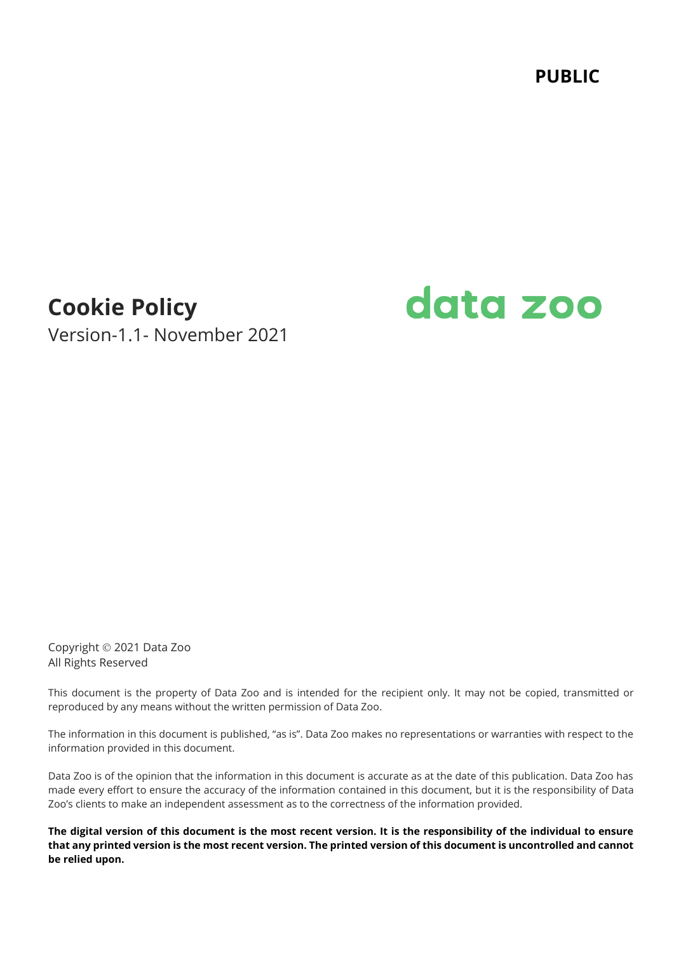**PUBLIC**

# **Cookie Policy**

Version-1.1- November 2021

# data zoo

Copyright © 2021 Data Zoo All Rights Reserved

This document is the property of Data Zoo and is intended for the recipient only. It may not be copied, transmitted or reproduced by any means without the written permission of Data Zoo.

The information in this document is published, "as is". Data Zoo makes no representations or warranties with respect to the information provided in this document.

Data Zoo is of the opinion that the information in this document is accurate as at the date of this publication. Data Zoo has made every effort to ensure the accuracy of the information contained in this document, but it is the responsibility of Data Zoo's clients to make an independent assessment as to the correctness of the information provided.

**The digital version of this document is the most recent version. It is the responsibility of the individual to ensure that any printed version is the most recent version. The printed version of this document is uncontrolled and cannot be relied upon.**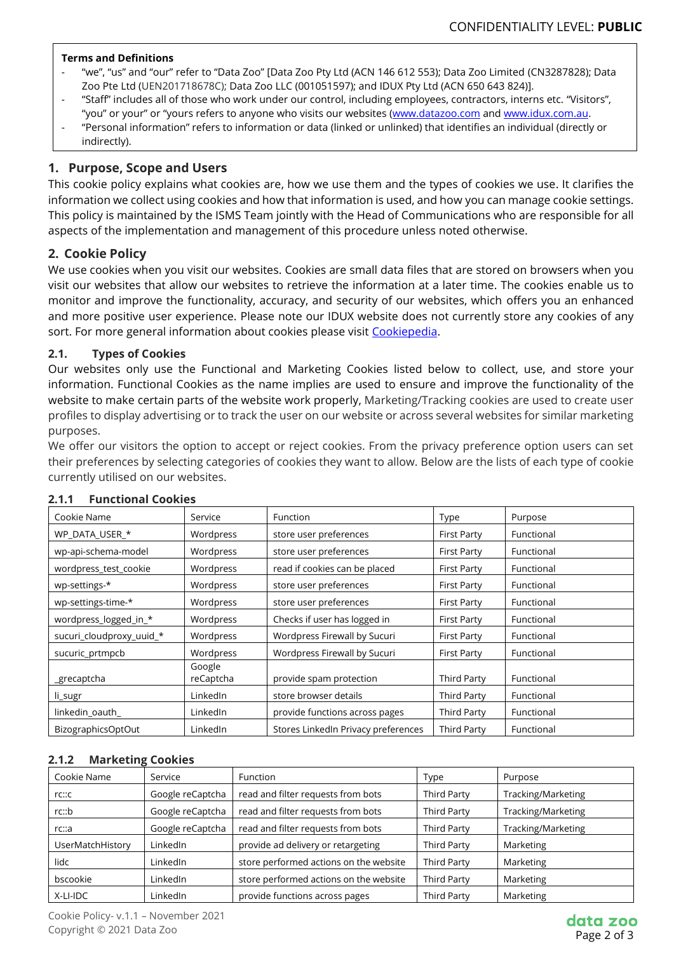#### **Terms and Definitions**

- "we", "us" and "our" refer to "Data Zoo" [Data Zoo Pty Ltd (ACN 146 612 553); Data Zoo Limited (CN3287828); Data Zoo Pte Ltd (UEN201718678C); Data Zoo LLC (001051597); and IDUX Pty Ltd (ACN 650 643 824)].
- "Staff" includes all of those who work under our control, including employees, contractors, interns etc. "Visitors", "you" or your" or "yours refers to anyone who visits our websites [\(www.datazoo.com](http://www.datazoo.com/) and [www.idux.com.au.](http://www.idux.com.au/)
- "Personal information" refers to information or data (linked or unlinked) that identifies an individual (directly or indirectly).

# **1. Purpose, Scope and Users**

This cookie policy explains what cookies are, how we use them and the types of cookies we use. It clarifies the information we collect using cookies and how that information is used, and how you can manage cookie settings. This policy is maintained by the ISMS Team jointly with the Head of Communications who are responsible for all aspects of the implementation and management of this procedure unless noted otherwise.

# **2. Cookie Policy**

We use cookies when you visit our websites. Cookies are small data files that are stored on browsers when you visit our websites that allow our websites to retrieve the information at a later time. The cookies enable us to monitor and improve the functionality, accuracy, and security of our websites, which offers you an enhanced and more positive user experience. Please note our IDUX website does not currently store any cookies of any sort. For more general information about cookies please visit [Cookiepedia.](https://cookiepedia.co.uk/)

#### **2.1. Types of Cookies**

Our websites only use the Functional and Marketing Cookies listed below to collect, use, and store your information. Functional Cookies as the name implies are used to ensure and improve the functionality of the website to make certain parts of the website work properly, Marketing/Tracking cookies are used to create user profiles to display advertising or to track the user on our website or across several websites for similar marketing purposes.

We offer our visitors the option to accept or reject cookies. From the privacy preference option users can set their preferences by selecting categories of cookies they want to allow. Below are the lists of each type of cookie currently utilised on our websites.

| Cookie Name              | Service             | <b>Function</b>                     | Type               | Purpose    |  |
|--------------------------|---------------------|-------------------------------------|--------------------|------------|--|
| WP DATA USER *           | Wordpress           | store user preferences              | <b>First Party</b> | Functional |  |
| wp-api-schema-model      | Wordpress           | store user preferences              | <b>First Party</b> | Functional |  |
| wordpress test cookie    | Wordpress           | read if cookies can be placed       | <b>First Party</b> | Functional |  |
| wp-settings-*            | Wordpress           | store user preferences              | <b>First Party</b> | Functional |  |
| wp-settings-time-*       | Wordpress           | store user preferences              | <b>First Party</b> | Functional |  |
| wordpress_logged_in_*    | Wordpress           | Checks if user has logged in        | <b>First Party</b> | Functional |  |
| sucuri cloudproxy uuid * | Wordpress           | Wordpress Firewall by Sucuri        | <b>First Party</b> | Functional |  |
| sucuric_prtmpcb          | Wordpress           | Wordpress Firewall by Sucuri        | <b>First Party</b> | Functional |  |
| _grecaptcha              | Google<br>reCaptcha | provide spam protection             | Third Party        | Functional |  |
| li_sugr                  | LinkedIn            | store browser details               | Third Party        | Functional |  |
| linkedin oauth           | LinkedIn            | provide functions across pages      | Third Party        | Functional |  |
| BizographicsOptOut       | LinkedIn            | Stores LinkedIn Privacy preferences | <b>Third Party</b> | Functional |  |

#### **2.1.1 Functional Cookies**

#### **2.1.2 Marketing Cookies**

| Cookie Name      | Service          | <b>Function</b>                        | Type               | Purpose            |
|------------------|------------------|----------------------------------------|--------------------|--------------------|
| rc::c            | Google reCaptcha | read and filter requests from bots     | Third Party        | Tracking/Marketing |
| rc::b            | Google reCaptcha | read and filter requests from bots     | Third Party        | Tracking/Marketing |
| rc::a            | Google reCaptcha | read and filter requests from bots     | Third Party        | Tracking/Marketing |
| UserMatchHistory | LinkedIn         | provide ad delivery or retargeting     | Third Party        | Marketing          |
| lidc             | LinkedIn         | store performed actions on the website | Third Party        | Marketing          |
| bscookie         | LinkedIn         | store performed actions on the website | Third Party        | <b>Marketing</b>   |
| X-LI-IDC         | LinkedIn         | provide functions across pages         | <b>Third Party</b> | Marketing          |